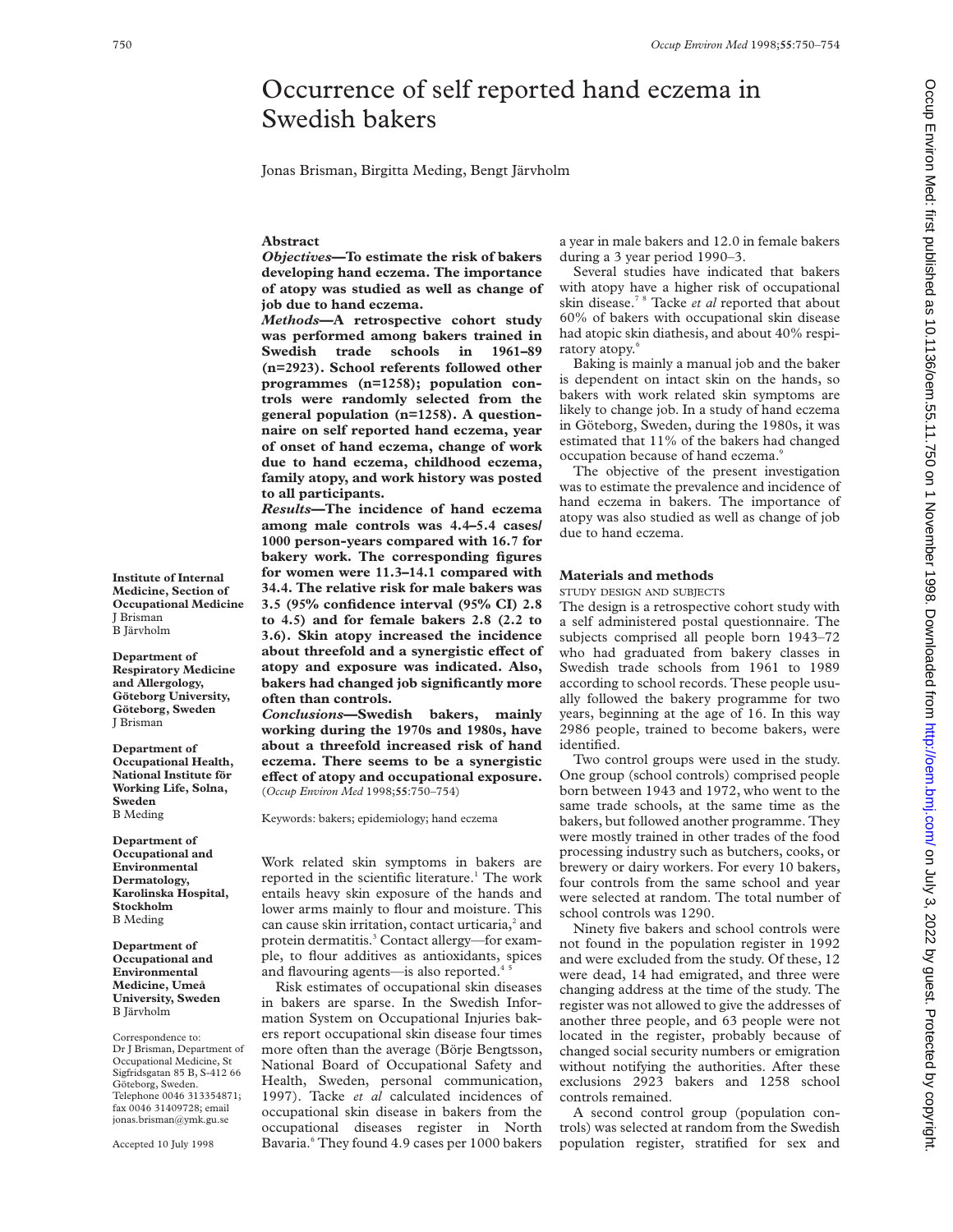# Occurrence of self reported hand eczema in Swedish bakers

Jonas Brisman, Birgitta Meding, Bengt Järvholm

# **Abstract**

*Objectives***—To estimate the risk of bakers developing hand eczema. The importance of atopy was studied as well as change of job due to hand eczema.**

*Methods***—A retrospective cohort study was performed among bakers trained in Swedish trade schools in 1961–89 (n=2923). School referents followed other programmes (n=1258); population controls were randomly selected from the general population (n=1258). A questionnaire on self reported hand eczema, year of onset of hand eczema, change of work due to hand eczema, childhood eczema, family atopy, and work history was posted to all participants.**

*Results***—The incidence of hand eczema among male controls was 4.4–5.4 cases/ 1000 person-years compared with 16.7 for bakery work. The corresponding figures for women were 11.3–14.1 compared with 34.4. The relative risk for male bakers was 3.5 (95% confidence interval (95% CI) 2.8 to 4.5) and for female bakers 2.8 (2.2 to 3.6). Skin atopy increased the incidence** about threefold and a synergistic effect of **atopy and exposure was indicated. Also, bakers had changed job significantly more often than controls.**

*Conclusions***—Swedish bakers, mainly working during the 1970s and 1980s, have about a threefold increased risk of hand eczema. There seems to be a synergistic eVect of atopy and occupational exposure.** (*Occup Environ Med* 1998;**55**:750–754)

Keywords: bakers; epidemiology; hand eczema

Work related skin symptoms in bakers are reported in the scientific literature.<sup>1</sup> The work entails heavy skin exposure of the hands and lower arms mainly to flour and moisture. This can cause skin irritation, contact urticaria,<sup>2</sup> and protein dermatitis.<sup>3</sup> Contact allergy—for example, to flour additives as antioxidants, spices and flavouring agents—is also reported.<sup>4</sup>

Risk estimates of occupational skin diseases in bakers are sparse. In the Swedish Information System on Occupational Injuries bakers report occupational skin disease four times more often than the average (Börje Bengtsson, National Board of Occupational Safety and Health, Sweden, personal communication, 1997). Tacke *et al* calculated incidences of occupational skin disease in bakers from the occupational diseases register in North Bavaria.<sup>6</sup> They found 4.9 cases per 1000 bakers

a year in male bakers and 12.0 in female bakers during a 3 year period 1990–3.

Several studies have indicated that bakers with atopy have a higher risk of occupational skin disease.7 8 Tacke *et al* reported that about 60% of bakers with occupational skin disease had atopic skin diathesis, and about 40% respiratory atopy.6

Baking is mainly a manual job and the baker is dependent on intact skin on the hands, so bakers with work related skin symptoms are likely to change job. In a study of hand eczema in Göteborg, Sweden, during the 1980s, it was estimated that 11% of the bakers had changed occupation because of hand eczema.<sup>9</sup>

The objective of the present investigation was to estimate the prevalence and incidence of hand eczema in bakers. The importance of atopy was also studied as well as change of job due to hand eczema.

#### **Materials and methods**

STUDY DESIGN AND SUBJECTS

The design is a retrospective cohort study with a self administered postal questionnaire. The subjects comprised all people born 1943–72 who had graduated from bakery classes in Swedish trade schools from 1961 to 1989 according to school records. These people usually followed the bakery programme for two years, beginning at the age of 16. In this way 2986 people, trained to become bakers, were identified.

Two control groups were used in the study. One group (school controls) comprised people born between 1943 and 1972, who went to the same trade schools, at the same time as the bakers, but followed another programme. They were mostly trained in other trades of the food processing industry such as butchers, cooks, or brewery or dairy workers. For every 10 bakers, four controls from the same school and year were selected at random. The total number of school controls was 1290.

Ninety five bakers and school controls were not found in the population register in 1992 and were excluded from the study. Of these, 12 were dead, 14 had emigrated, and three were changing address at the time of the study. The register was not allowed to give the addresses of another three people, and 63 people were not located in the register, probably because of changed social security numbers or emigration without notifying the authorities. After these exclusions 2923 bakers and 1258 school controls remained.

A second control group (population controls) was selected at random from the Swedish population register, stratified for sex and

**Institute of Internal Medicine, Section of Occupational Medicine** J Brisman B Järvholm **Department of**

**Respiratory Medicine and Allergology, Göteborg University, Göteborg, Sweden** J Brisman

**Department of Occupational Health, National Institute för Working Life, Solna, Sweden** B Meding

**Department of Occupational and Environmental Dermatology, Karolinska Hospital, Stockholm** B Meding

**Department of Occupational and Environmental Medicine, Umeå University, Sweden** B Järvholm

Correspondence to: Dr J Brisman, Department of Occupational Medicine, St Sigfridsgatan 85 B, S-412 66 Göteborg, Sweden. Telephone 0046 313354871; fax 0046 31409728; email jonas.brisman@ymk.gu.se

Accepted 10 July 1998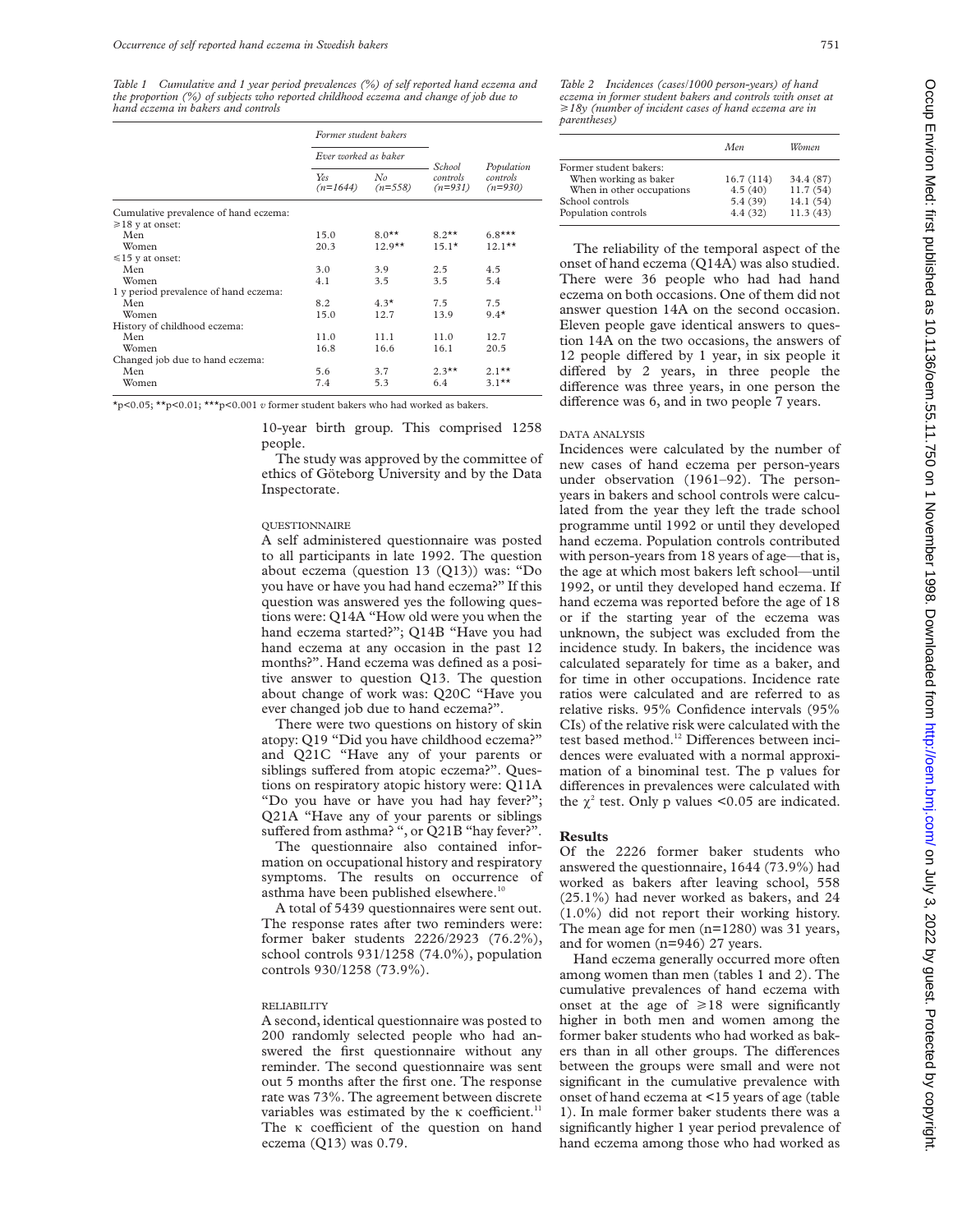*Table 1 Cumulative and 1 year period prevalences (%) of self reported hand eczema and the proportion (%) of subjects who reported childhood eczema and change of job due to hand eczema in bakers and controls*

|                                       | Former student bakers<br>Ever worked as baker |                 |                                 |                                     |
|---------------------------------------|-----------------------------------------------|-----------------|---------------------------------|-------------------------------------|
|                                       |                                               |                 |                                 |                                     |
|                                       | Yes<br>$(n=1644)$                             | No<br>$(n=558)$ | School<br>controls<br>$(n=931)$ | Population<br>controls<br>$(n=930)$ |
| Cumulative prevalence of hand eczema: |                                               |                 |                                 |                                     |
| $\geq 18$ y at onset:                 |                                               |                 |                                 |                                     |
| Men                                   | 15.0                                          | $8.0**$         | $8.2**$                         | $6.8***$                            |
| Women                                 | 20.3                                          | $12.9**$        | $15.1*$                         | $12.1***$                           |
| $\leq 15$ y at onset:                 |                                               |                 |                                 |                                     |
| Men                                   | 3.0                                           | 3.9             | 2.5                             | 4.5                                 |
| Women                                 | 4.1                                           | 3.5             | 3.5                             | 5.4                                 |
| 1 y period prevalence of hand eczema: |                                               |                 |                                 |                                     |
| Men                                   | 8.2                                           | $4.3*$          | 7.5                             | 7.5                                 |
| Women                                 | 15.0                                          | 12.7            | 13.9                            | $9.4*$                              |
| History of childhood eczema:          |                                               |                 |                                 |                                     |
| Men                                   | 11.0                                          | 11.1            | 11.0                            | 12.7                                |
| Women                                 | 16.8                                          | 16.6            | 16.1                            | 20.5                                |
| Changed job due to hand eczema:       |                                               |                 |                                 |                                     |
| Men                                   | 5.6                                           | 3.7             | $2.3***$                        | $2.1***$                            |
| Women                                 | 7.4                                           | 5.3             | 6.4                             | $3.1***$                            |

\*p<0.05; \*\*p<0.01; \*\*\*p<0.001 *v* former student bakers who had worked as bakers.

10-year birth group. This comprised 1258 people.

The study was approved by the committee of ethics of Göteborg University and by the Data Inspectorate.

#### QUESTIONNAIRE

A self administered questionnaire was posted to all participants in late 1992. The question about eczema (question 13 (Q13)) was: "Do you have or have you had hand eczema?" If this question was answered yes the following questions were: Q14A "How old were you when the hand eczema started?"; Q14B "Have you had hand eczema at any occasion in the past 12 months?". Hand eczema was defined as a positive answer to question Q13. The question about change of work was: Q20C "Have you ever changed job due to hand eczema?".

There were two questions on history of skin atopy: Q19 "Did you have childhood eczema?" and Q21C "Have any of your parents or siblings suffered from atopic eczema?". Questions on respiratory atopic history were: Q11A "Do you have or have you had hay fever?"; Q21A "Have any of your parents or siblings suffered from asthma? ", or  $Q21B$  "hay fever?".

The questionnaire also contained information on occupational history and respiratory symptoms. The results on occurrence of asthma have been published elsewhere.<sup>10</sup>

A total of 5439 questionnaires were sent out. The response rates after two reminders were: former baker students 2226/2923 (76.2%), school controls 931/1258 (74.0%), population controls 930/1258 (73.9%).

## RELIABILITY

A second, identical questionnaire was posted to 200 randomly selected people who had answered the first questionnaire without any reminder. The second questionnaire was sent out 5 months after the first one. The response rate was 73%. The agreement between discrete variables was estimated by the  $\kappa$  coefficient.<sup>11</sup> The  $K$  coefficient of the question on hand eczema  $(Q13)$  was 0.79.

*Table 2 Incidences (cases/1000 person-years) of hand eczema in former student bakers and controls with onset at* >*18y (number of incident cases of hand eczema are in parentheses)*

|                           | Men       | Women     |
|---------------------------|-----------|-----------|
| Former student bakers:    |           |           |
| When working as baker     | 16.7(114) | 34.4 (87) |
| When in other occupations | 4.5(40)   | 11.7(54)  |
| School controls           | 5.4(39)   | 14.1 (54) |
| Population controls       | 4.4(32)   | 11.3(43)  |

The reliability of the temporal aspect of the onset of hand eczema (Q14A) was also studied. There were 36 people who had had hand eczema on both occasions. One of them did not answer question 14A on the second occasion. Eleven people gave identical answers to question 14A on the two occasions, the answers of 12 people differed by 1 year, in six people it differed by 2 years, in three people the difference was three years, in one person the difference was 6, and in two people 7 years.

## DATA ANALYSIS

Incidences were calculated by the number of new cases of hand eczema per person-years under observation (1961–92). The personyears in bakers and school controls were calculated from the year they left the trade school programme until 1992 or until they developed hand eczema. Population controls contributed with person-years from 18 years of age—that is, the age at which most bakers left school—until 1992, or until they developed hand eczema. If hand eczema was reported before the age of 18 or if the starting year of the eczema was unknown, the subject was excluded from the incidence study. In bakers, the incidence was calculated separately for time as a baker, and for time in other occupations. Incidence rate ratios were calculated and are referred to as relative risks. 95% Confidence intervals (95% CIs) of the relative risk were calculated with the test based method.<sup>12</sup> Differences between incidences were evaluated with a normal approximation of a binominal test. The p values for differences in prevalences were calculated with the  $\chi^2$  test. Only p values <0.05 are indicated.

## **Results**

Of the 2226 former baker students who answered the questionnaire, 1644 (73.9%) had worked as bakers after leaving school, 558 (25.1%) had never worked as bakers, and 24 (1.0%) did not report their working history. The mean age for men (n=1280) was 31 years, and for women (n=946) 27 years.

Hand eczema generally occurred more often among women than men (tables 1 and 2). The cumulative prevalences of hand eczema with onset at the age of  $\geq 18$  were significantly higher in both men and women among the former baker students who had worked as bakers than in all other groups. The differences between the groups were small and were not significant in the cumulative prevalence with onset of hand eczema at <15 years of age (table 1). In male former baker students there was a significantly higher 1 year period prevalence of hand eczema among those who had worked as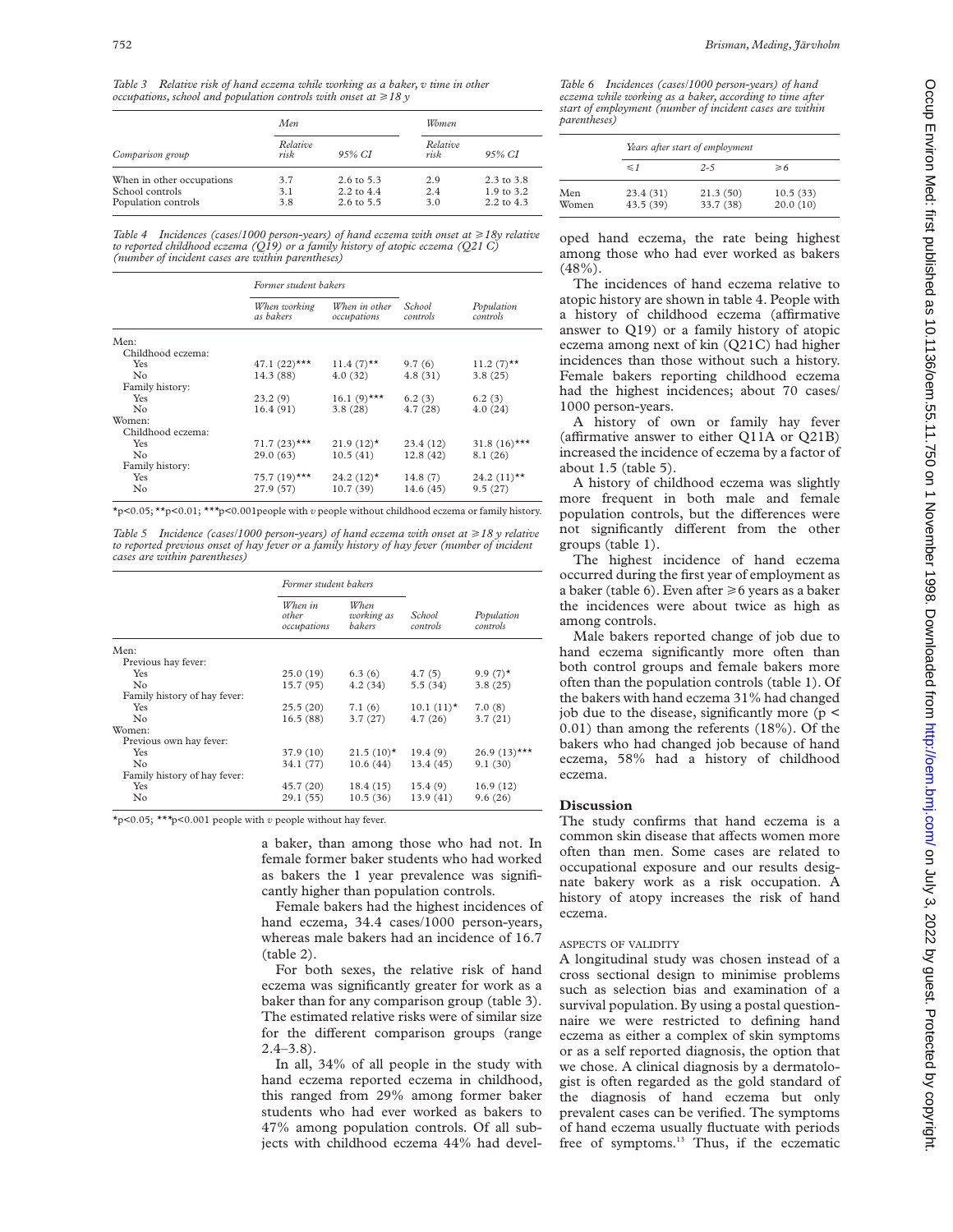*Table 3 Relative risk of hand eczema while working as a baker, v time in other occupations, school and population controls with onset at*  $\geq$  18 y

|                           | Men.             |                       | Women            |                       |
|---------------------------|------------------|-----------------------|------------------|-----------------------|
| Comparison group          | Relative<br>risk | 95% CI                | Relative<br>risk | 95% CI                |
| When in other occupations | 3.7              | $2.6 \text{ to } 5.3$ | 2.9              | $2.3 \text{ to } 3.8$ |
| School controls           | 3.1              | $2.2 \text{ to } 4.4$ | 2.4              | $1.9 \text{ to } 3.2$ |
| Population controls       | 3.8              | $2.6 \text{ to } 5.5$ | 3.0              | $2.2 \text{ to } 4.3$ |

*Table 4 Incidences (cases/1000 person-years) of hand eczema with onset at*  $\geq$  18y relative *to reported childhood eczema (Q19) or a family history of atopic eczema (Q21 C) (number of incident cases are within parentheses)*

|                   | Former student bakers     |                              |                    |                        |
|-------------------|---------------------------|------------------------------|--------------------|------------------------|
|                   | When working<br>as bakers | When in other<br>occupations | School<br>controls | Population<br>controls |
| Men:              |                           |                              |                    |                        |
| Childhood eczema: |                           |                              |                    |                        |
| Yes               | 47.1 $(22)$ ***           | $11.4(7)$ **                 | 9.7(6)             | $11.2 (7)$ **          |
| N <sub>0</sub>    | 14.3 (88)                 | 4.0(32)                      | 4.8(31)            | 3.8(25)                |
| Family history:   |                           |                              |                    |                        |
| <b>Yes</b>        | 23.2(9)                   | 16.1 $(9)$ ***               | 6.2(3)             | 6.2(3)                 |
| No                | 16.4(91)                  | 3.8(28)                      | 4.7(28)            | 4.0(24)                |
| Women:            |                           |                              |                    |                        |
| Childhood eczema: |                           |                              |                    |                        |
| Yes               | $71.7(23)$ ***            | $21.9(12)$ *                 | 23.4(12)           | 31.8 $(16)$ ***        |
| No                | 29.0(63)                  | 10.5(41)                     | 12.8(42)           | 8.1(26)                |
| Family history:   |                           |                              |                    |                        |
| Yes               | $75.7(19)$ ***            | $24.2(12)$ *                 | 14.8(7)            | 24.2 $(11)$ **         |
| No                | 27.9 (57)                 | 10.7(39)                     | 14.6(45)           | 9.5(27)                |

\*p<0.05; \*\*p<0.01; *\*\*\**p<0.001people with *v* people without childhood eczema or family history.

*Table 5 Incidence (cases/1000 person-years) of hand eczema with onset at*  $\geq$  18 y relative *to reported previous onset of hay fever or a family history of hay fever (number of incident cases are within parentheses)*

|                              | Former student bakers           |                              |                    |                        |
|------------------------------|---------------------------------|------------------------------|--------------------|------------------------|
|                              | When in<br>other<br>occupations | When<br>working as<br>bakers | School<br>controls | Population<br>controls |
| Men:                         |                                 |                              |                    |                        |
| Previous hay fever:          |                                 |                              |                    |                        |
| Yes                          | 25.0(19)                        | 6.3(6)                       | 4.7(5)             | 9.9 $(7)$ *            |
| No.                          | 15.7(95)                        | 4.2(34)                      | 5.5(34)            | 3.8(25)                |
| Family history of hay fever: |                                 |                              |                    |                        |
| Yes                          | 25.5(20)                        | 7.1(6)                       | $10.1(11)$ *       | 7.0(8)                 |
| No                           | 16.5(88)                        | 3.7(27)                      | 4.7(26)            | 3.7(21)                |
| Women:                       |                                 |                              |                    |                        |
| Previous own hay fever:      |                                 |                              |                    |                        |
| Yes                          | 37.9 (10)                       | $21.5(10)^*$                 | 19.4(9)            | $26.9(13)$ ***         |
| No                           | 34.1 (77)                       | 10.6(44)                     | 13.4 (45)          | 9.1(30)                |
| Family history of hay fever: |                                 |                              |                    |                        |
| <b>Yes</b>                   | 45.7(20)                        | 18.4(15)                     | 15.4(9)            | 16.9(12)               |
| No                           | 29.1(55)                        | 10.5(36)                     | 13.9 (41)          | 9.6(26)                |

\*p<0.05; *\*\*\**p<0.001 people with *v* people without hay fever*.*

a baker, than among those who had not. In female former baker students who had worked as bakers the 1 year prevalence was significantly higher than population controls.

Female bakers had the highest incidences of hand eczema, 34.4 cases/1000 person-years, whereas male bakers had an incidence of 16.7 (table 2).

For both sexes, the relative risk of hand eczema was significantly greater for work as a baker than for any comparison group (table 3). The estimated relative risks were of similar size for the different comparison groups (range  $2.4 - 3.8$ ).

In all, 34% of all people in the study with hand eczema reported eczema in childhood, this ranged from 29% among former baker students who had ever worked as bakers to 47% among population controls. Of all subjects with childhood eczema 44% had devel*Table 6 Incidences (cases/1000 person-years) of hand eczema while working as a baker, according to time after start of employment (number of incident cases are within parentheses)*

|              |                      | Years after start of employment |                      |  |  |
|--------------|----------------------|---------------------------------|----------------------|--|--|
|              | $\leq$ 1             | $2 - 5$                         | $\geqslant 6$        |  |  |
| Men<br>Women | 23.4(31)<br>43.5(39) | 21.3(50)<br>33.7 (38)           | 10.5(33)<br>20.0(10) |  |  |

oped hand eczema, the rate being highest among those who had ever worked as bakers (48%).

The incidences of hand eczema relative to atopic history are shown in table 4. People with a history of childhood eczema (affirmative answer to Q19) or a family history of atopic eczema among next of kin (Q21C) had higher incidences than those without such a history. Female bakers reporting childhood eczema had the highest incidences; about 70 cases/ 1000 person-years.

A history of own or family hay fever (affirmative answer to either  $Q11A$  or  $Q21B$ ) increased the incidence of eczema by a factor of about 1.5 (table 5).

A history of childhood eczema was slightly more frequent in both male and female population controls, but the differences were not significantly different from the other groups (table 1).

The highest incidence of hand eczema occurred during the first year of employment as a baker (table 6). Even after  $\geq 6$  years as a baker the incidences were about twice as high as among controls.

Male bakers reported change of job due to hand eczema significantly more often than both control groups and female bakers more often than the population controls (table 1). Of the bakers with hand eczema 31% had changed job due to the disease, significantly more (p < 0.01) than among the referents (18%). Of the bakers who had changed job because of hand eczema, 58% had a history of childhood eczema.

#### **Discussion**

The study confirms that hand eczema is a common skin disease that affects women more often than men. Some cases are related to occupational exposure and our results designate bakery work as a risk occupation. A history of atopy increases the risk of hand eczema.

## ASPECTS OF VALIDITY

A longitudinal study was chosen instead of a cross sectional design to minimise problems such as selection bias and examination of a survival population. By using a postal questionnaire we were restricted to defining hand eczema as either a complex of skin symptoms or as a self reported diagnosis, the option that we chose. A clinical diagnosis by a dermatologist is often regarded as the gold standard of the diagnosis of hand eczema but only prevalent cases can be verified. The symptoms of hand eczema usually fluctuate with periods free of symptoms.<sup>13</sup> Thus, if the eczematic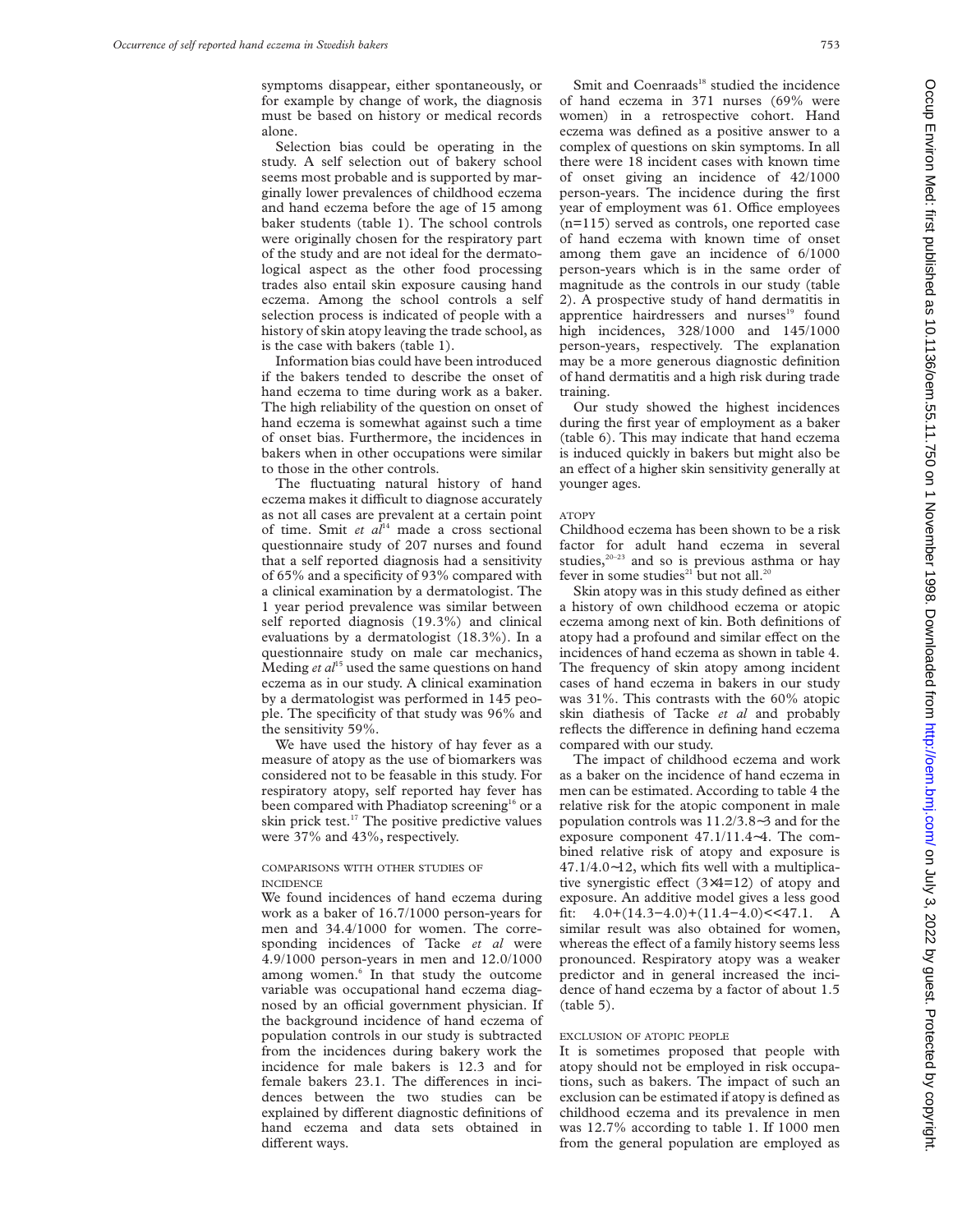symptoms disappear, either spontaneously, or for example by change of work, the diagnosis must be based on history or medical records alone.

Selection bias could be operating in the study. A self selection out of bakery school seems most probable and is supported by marginally lower prevalences of childhood eczema and hand eczema before the age of 15 among baker students (table 1). The school controls were originally chosen for the respiratory part of the study and are not ideal for the dermatological aspect as the other food processing trades also entail skin exposure causing hand eczema. Among the school controls a self selection process is indicated of people with a history of skin atopy leaving the trade school, as is the case with bakers (table 1).

Information bias could have been introduced if the bakers tended to describe the onset of hand eczema to time during work as a baker. The high reliability of the question on onset of hand eczema is somewhat against such a time of onset bias. Furthermore, the incidences in bakers when in other occupations were similar to those in the other controls.

The fluctuating natural history of hand eczema makes it difficult to diagnose accurately as not all cases are prevalent at a certain point of time. Smit *et al*<sup>14</sup> made a cross sectional questionnaire study of 207 nurses and found that a self reported diagnosis had a sensitivity of 65% and a specificity of 93% compared with a clinical examination by a dermatologist. The 1 year period prevalence was similar between self reported diagnosis (19.3%) and clinical evaluations by a dermatologist (18.3%). In a questionnaire study on male car mechanics, Meding *et al*<sup>15</sup> used the same questions on hand eczema as in our study. A clinical examination by a dermatologist was performed in 145 people. The specificity of that study was 96% and the sensitivity 59%.

We have used the history of hay fever as a measure of atopy as the use of biomarkers was considered not to be feasable in this study. For respiratory atopy, self reported hay fever has been compared with Phadiatop screening<sup>16</sup> or a skin prick test.<sup>17</sup> The positive predictive values were 37% and 43%, respectively.

# COMPARISONS WITH OTHER STUDIES OF INCIDENCE

We found incidences of hand eczema during work as a baker of 16.7/1000 person-years for men and 34.4/1000 for women. The corresponding incidences of Tacke *et al* were 4.9/1000 person-years in men and 12.0/1000 among women.<sup>6</sup> In that study the outcome variable was occupational hand eczema diagnosed by an official government physician. If the background incidence of hand eczema of population controls in our study is subtracted from the incidences during bakery work the incidence for male bakers is 12.3 and for female bakers 23.1. The differences in incidences between the two studies can be explained by different diagnostic definitions of hand eczema and data sets obtained in different ways.

Smit and Coenraads<sup>18</sup> studied the incidence of hand eczema in 371 nurses (69% were women) in a retrospective cohort. Hand eczema was defined as a positive answer to a complex of questions on skin symptoms. In all there were 18 incident cases with known time of onset giving an incidence of 42/1000 person-years. The incidence during the first year of employment was 61. Office employees (n=115) served as controls, one reported case of hand eczema with known time of onset among them gave an incidence of 6/1000 person-years which is in the same order of magnitude as the controls in our study (table 2). A prospective study of hand dermatitis in apprentice hairdressers and nurses<sup>19</sup> found high incidences, 328/1000 and 145/1000 person-years, respectively. The explanation may be a more generous diagnostic definition of hand dermatitis and a high risk during trade training.

Our study showed the highest incidences during the first year of employment as a baker (table 6). This may indicate that hand eczema is induced quickly in bakers but might also be an effect of a higher skin sensitivity generally at younger ages.

#### ATOPY

Childhood eczema has been shown to be a risk factor for adult hand eczema in several studies,<sup>20-23</sup> and so is previous asthma or hay fever in some studies<sup>21</sup> but not all.<sup>20</sup>

Skin atopy was in this study defined as either a history of own childhood eczema or atopic eczema among next of kin. Both definitions of atopy had a profound and similar effect on the incidences of hand eczema as shown in table 4. The frequency of skin atopy among incident cases of hand eczema in bakers in our study was 31%. This contrasts with the 60% atopic skin diathesis of Tacke *et al* and probably reflects the difference in defining hand eczema compared with our study.

The impact of childhood eczema and work as a baker on the incidence of hand eczema in men can be estimated. According to table 4 the relative risk for the atopic component in male population controls was 11.2/3.8∼3 and for the exposure component 47.1/11.4∼4. The combined relative risk of atopy and exposure is 47.1/4.0∼12, which fits well with a multiplicative synergistic effect  $(3\times4=12)$  of atopy and exposure. An additive model gives a less good fit:  $4.0+(14.3-4.0)+(11.4-4.0)$  < 47.1. A similar result was also obtained for women, whereas the effect of a family history seems less pronounced. Respiratory atopy was a weaker predictor and in general increased the incidence of hand eczema by a factor of about 1.5 (table 5).

# EXCLUSION OF ATOPIC PEOPLE

It is sometimes proposed that people with atopy should not be employed in risk occupations, such as bakers. The impact of such an exclusion can be estimated if atopy is defined as childhood eczema and its prevalence in men was 12.7% according to table 1. If 1000 men from the general population are employed as